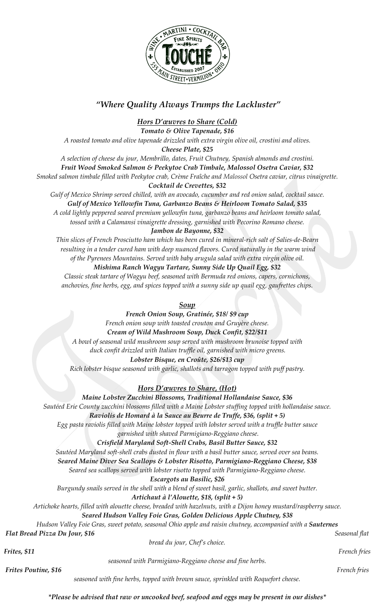

# *"Where Quality Always Trumps the Lackluster"*

*Hors D'œuvres to Share (Cold)*

*Tomato & Olive Tapenade, \$16*

*A roasted tomato and olive tapenade drizzled with extra virgin olive oil, crostini and olives.*

*Cheese Plate, \$25*

*A selection of cheese du jour, Membrillo, dates, Fruit Chutney, Spanish almonds and crostini.*

*Fruit Wood Smoked Salmon & Peekytoe Crab Timbale, Malossol Osetra Caviar, \$32*

*Smoked salmon timbale filled with Peekytoe crab, Crème Fraîche and Malossol Osetra caviar, citrus vinaigrette. Cocktail de Crevettes, \$32*

*Gulf of Mexico Shrimp served chilled, with an avocado, cucumber and red onion salad, cocktail sauce. Gulf of Mexico Yellowfin Tuna, Garbanzo Beans & Heirloom Tomato Salad, \$35 A cold lightly peppered seared premium yellowfin tuna, garbanzo beans and heirloom tomato salad, tossed with a Calamansi vinaigrette dressing, garnished with Pecorino Romano cheese.*

### *Jambon de Bayonne, \$32*

*Thin slices of French Prosciutto ham which has been cured in mineral-rich salt of Salies-de-Bearn resulting in a tender cured ham with deep nuanced flavors. Cured naturally in the warm wind of the Pyrenees Mountains. Served with baby arugula salad with extra virgin olive oil.*

## *Mishima Ranch Wagyu Tartare, Sunny Side Up Quail Egg, \$32*

*Classic steak tartare of Wagyu beef, seasoned with Bermuda red onions, capers, cornichons, anchovies, fine herbs, egg, and spices topped with a sunny side up quail egg, gaufrettes chips.* 

*Soup* 

*French Onion Soup, Gratinée, \$18/ \$9 cup French onion soup with toasted crouton and Gruyère cheese. Cream of Wild Mushroom Soup, Duck Confit, \$22/\$11 A bowl of seasonal wild mushroom soup served with mushroom brunoise topped with duck confit drizzled with Italian truffle oil, garnished with micro greens. Lobster Bisque, en Croûte, \$26/\$13 cup* 

*Rich lobster bisque seasoned with garlic, shallots and tarragon topped with puff pastry.*

*Hors D'œuvres to Share, (Hot)*

*Maine Lobster Zucchini Blossoms, Traditional Hollandaise Sauce, \$36 Sautéed Erie County zucchini blossoms filled with a Maine Lobster stuffing topped with hollandaise sauce. Raviolis de Homard à la Sauce au Beurre de Truffe, \$36, (split + 5)*

*Egg pasta raviolis filled with Maine lobster topped with lobster served with a truffle butter sauce garnished with shaved Parmigiano-Reggiano cheese.* 

# *Crisfield Maryland Soft-Shell Crabs, Basil Butter Sauce, \$32*

*Sautéed Maryland soft-shell crabs dusted in flour with a basil butter sauce, served over sea beans.*

*Seared Maine Diver Sea Scallops & Lobster Risotto, Parmigiano-Reggiano Cheese, \$38*

*Seared sea scallops served with lobster risotto topped with Parmigiano-Reggiano cheese.*

*Escargots au Basilic, \$26*

*Burgundy snails served in the shell with a blend of sweet basil, garlic, shallots, and sweet butter.*

*Artichaut à l'Alouette, \$18, (split + 5)*

*Artichoke hearts, filled with alouette cheese, breaded with hazelnuts, with a Dijon honey mustard/raspberry sauce.*

*Seared Hudson Valley Foie Gras, Golden Delicious Apple Chutney, \$38*

*Hudson Valley Foie Gras, sweet potato, seasonal Ohio apple and raisin chutney, accompanied with a Sauternes* 

*Flat Bread Pizza Du Jour, \$16 Seasonal flat* 

|              | bread du jour, Chef's choice. |              |
|--------------|-------------------------------|--------------|
| Frites, \$11 | .<br>___                      | French fries |

*Frites Poutine, \$16 French fries* 

*seasoned with Parmigiano-Reggiano cheese and fine herbs.* 

*seasoned with fine herbs, topped with brown sauce, sprinkled with Roquefort cheese.*

*\*Please be advised that raw or uncooked beef, seafood and eggs may be present in our dishes\**